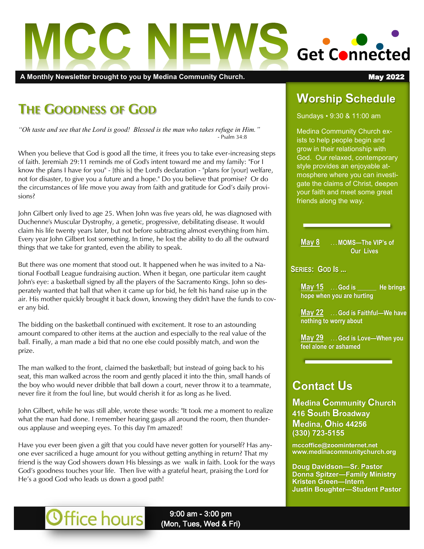

A Monthly Newsletter brought to you by Medina Community Church. **May 2022 May 2022** 

# **THE GOODNESS OF GOD**

*"Oh taste and see that the Lord is good! Blessed is the man who takes refuge in Him."*  - Psalm 34:8

When you believe that God is good all the time, it frees you to take ever-increasing steps of faith. Jeremiah 29:11 reminds me of God's intent toward me and my family: "For I know the plans I have for you" - [this is] the Lord's declaration - "plans for [your] welfare, not for disaster, to give you a future and a hope." Do you believe that promise? Or do the circumstances of life move you away from faith and gratitude for God's daily provisions?

John Gilbert only lived to age 25. When John was five years old, he was diagnosed with Duchenne's Muscular Dystrophy, a genetic, progressive, debilitating disease. It would claim his life twenty years later, but not before subtracting almost everything from him. Every year John Gilbert lost something. In time, he lost the ability to do all the outward things that we take for granted, even the ability to speak.

But there was one moment that stood out. It happened when he was invited to a National Football League fundraising auction. When it began, one particular item caught John's eye: a basketball signed by all the players of the Sacramento Kings. John so desperately wanted that ball that when it came up for bid, he felt his hand raise up in the air. His mother quickly brought it back down, knowing they didn't have the funds to cover any bid.

The bidding on the basketball continued with excitement. It rose to an astounding amount compared to other items at the auction and especially to the real value of the ball. Finally, a man made a bid that no one else could possibly match, and won the prize.

The man walked to the front, claimed the basketball; but instead of going back to his seat, this man walked across the room and gently placed it into the thin, small hands of the boy who would never dribble that ball down a court, never throw it to a teammate, never fire it from the foul line, but would cherish it for as long as he lived.

John Gilbert, while he was still able, wrote these words: "It took me a moment to realize what the man had done. I remember hearing gasps all around the room, then thunderous applause and weeping eyes. To this day I'm amazed!

Have you ever been given a gift that you could have never gotten for yourself? Has anyone ever sacrificed a huge amount for you without getting anything in return? That my friend is the way God showers down His blessings as we walk in faith. Look for the ways God's goodness touches your life. Then live with a grateful heart, praising the Lord for He's a good God who leads us down a good path!

Office hours

# **Worship Schedule**

Sundays • 9:30 & 11:00 am

Medina Community Church exists to help people begin and grow in their relationship with God. Our relaxed, contemporary style provides an enjoyable atmosphere where you can investigate the claims of Christ, deepen your faith and meet some great friends along the way.

**May 8 . . . MOMS—The VIP's of Our Lives**

**SERIES: GOD IS ...**

**May 15** ... God is **He brings hope when you are hurting**

**May 22 . . . God is Faithful—We have nothing to worry about**

**May 29 . . . God is Love—When you feel alone or ashamed**

# **Contact Us**

**Medina Community Church 416 South Broadway Medina, Ohio 44256 (330) 723-5155**

**mccoffice@zoominternet.net www.medinacommunitychurch.org**

**Doug Davidson—Sr. Pastor Donna Spitzer—Family Ministry Kristen Green—Intern Justin Boughter—Student Pastor** 

9:00 am - 3:00 pm (Mon, Tues, Wed & Fri)